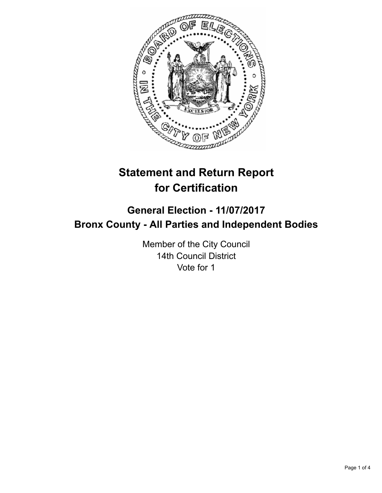

# **Statement and Return Report for Certification**

## **General Election - 11/07/2017 Bronx County - All Parties and Independent Bodies**

Member of the City Council 14th Council District Vote for 1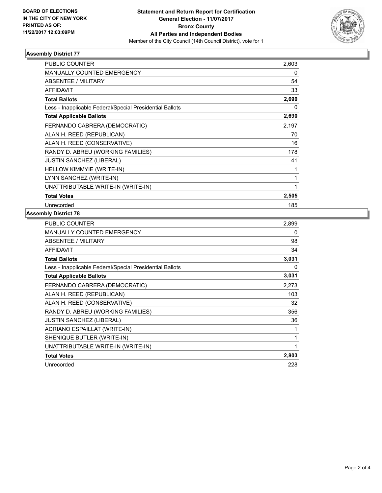

## **Assembly District 77**

| <b>PUBLIC COUNTER</b>                                    | 2,603 |
|----------------------------------------------------------|-------|
| <b>MANUALLY COUNTED EMERGENCY</b>                        | 0     |
| <b>ABSENTEE / MILITARY</b>                               | 54    |
| <b>AFFIDAVIT</b>                                         | 33    |
| <b>Total Ballots</b>                                     | 2,690 |
| Less - Inapplicable Federal/Special Presidential Ballots | 0     |
| <b>Total Applicable Ballots</b>                          | 2,690 |
| FERNANDO CABRERA (DEMOCRATIC)                            | 2,197 |
| ALAN H. REED (REPUBLICAN)                                | 70    |
| ALAN H. REED (CONSERVATIVE)                              | 16    |
| RANDY D. ABREU (WORKING FAMILIES)                        | 178   |
| <b>JUSTIN SANCHEZ (LIBERAL)</b>                          | 41    |
| HELLOW KIMMYIE (WRITE-IN)                                |       |
| LYNN SANCHEZ (WRITE-IN)                                  |       |
| UNATTRIBUTABLE WRITE-IN (WRITE-IN)                       | 1     |
| <b>Total Votes</b>                                       | 2,505 |
| Unrecorded                                               | 185   |

#### **Assembly District 78**

| <b>PUBLIC COUNTER</b>                                    | 2,899 |
|----------------------------------------------------------|-------|
| <b>MANUALLY COUNTED EMERGENCY</b>                        | 0     |
| ABSENTEE / MILITARY                                      | 98    |
| <b>AFFIDAVIT</b>                                         | 34    |
| <b>Total Ballots</b>                                     | 3,031 |
| Less - Inapplicable Federal/Special Presidential Ballots | 0     |
| <b>Total Applicable Ballots</b>                          | 3,031 |
| FERNANDO CABRERA (DEMOCRATIC)                            | 2,273 |
| ALAN H. REED (REPUBLICAN)                                | 103   |
| ALAN H. REED (CONSERVATIVE)                              | 32    |
| RANDY D. ABREU (WORKING FAMILIES)                        | 356   |
| <b>JUSTIN SANCHEZ (LIBERAL)</b>                          | 36    |
| ADRIANO ESPAILLAT (WRITE-IN)                             | 1     |
| SHENIQUE BUTLER (WRITE-IN)                               | 1     |
| UNATTRIBUTABLE WRITE-IN (WRITE-IN)                       | 1     |
| <b>Total Votes</b>                                       | 2,803 |
| Unrecorded                                               | 228   |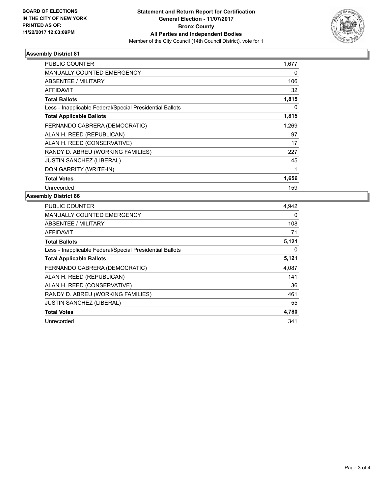

## **Assembly District 81**

| <b>PUBLIC COUNTER</b>                                    | 1,677 |
|----------------------------------------------------------|-------|
| <b>MANUALLY COUNTED EMERGENCY</b>                        | 0     |
| ABSENTEE / MILITARY                                      | 106   |
| <b>AFFIDAVIT</b>                                         | 32    |
| <b>Total Ballots</b>                                     | 1,815 |
| Less - Inapplicable Federal/Special Presidential Ballots | 0     |
| <b>Total Applicable Ballots</b>                          | 1,815 |
| FERNANDO CABRERA (DEMOCRATIC)                            | 1,269 |
| ALAN H. REED (REPUBLICAN)                                | 97    |
| ALAN H. REED (CONSERVATIVE)                              | 17    |
| RANDY D. ABREU (WORKING FAMILIES)                        | 227   |
| <b>JUSTIN SANCHEZ (LIBERAL)</b>                          | 45    |
| DON GARRITY (WRITE-IN)                                   |       |
| <b>Total Votes</b>                                       | 1,656 |
| Unrecorded                                               | 159   |

## **Assembly District 86**

| PUBLIC COUNTER                                           | 4,942 |
|----------------------------------------------------------|-------|
| <b>MANUALLY COUNTED EMERGENCY</b>                        | 0     |
| ABSENTEE / MILITARY                                      | 108   |
| AFFIDAVIT                                                | 71    |
| <b>Total Ballots</b>                                     | 5,121 |
| Less - Inapplicable Federal/Special Presidential Ballots | 0     |
| <b>Total Applicable Ballots</b>                          | 5,121 |
| FERNANDO CABRERA (DEMOCRATIC)                            | 4,087 |
| ALAN H. REED (REPUBLICAN)                                | 141   |
| ALAN H. REED (CONSERVATIVE)                              | 36    |
| RANDY D. ABREU (WORKING FAMILIES)                        | 461   |
| <b>JUSTIN SANCHEZ (LIBERAL)</b>                          | 55    |
| <b>Total Votes</b>                                       | 4,780 |
| Unrecorded                                               | 341   |